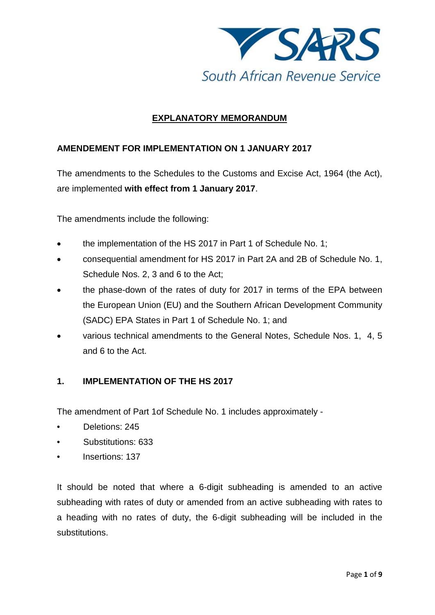

# **EXPLANATORY MEMORANDUM**

#### **AMENDEMENT FOR IMPLEMENTATION ON 1 JANUARY 2017**

The amendments to the Schedules to the Customs and Excise Act, 1964 (the Act), are implemented **with effect from 1 January 2017**.

The amendments include the following:

- the implementation of the HS 2017 in Part 1 of Schedule No. 1;
- consequential amendment for HS 2017 in Part 2A and 2B of Schedule No. 1, Schedule Nos. 2, 3 and 6 to the Act;
- the phase-down of the rates of duty for 2017 in terms of the EPA between the European Union (EU) and the Southern African Development Community (SADC) EPA States in Part 1 of Schedule No. 1; and
- various technical amendments to the General Notes, Schedule Nos. 1, 4, 5 and 6 to the Act.

## **1. IMPLEMENTATION OF THE HS 2017**

The amendment of Part 1of Schedule No. 1 includes approximately -

- Deletions: 245
- Substitutions: 633
- Insertions: 137

It should be noted that where a 6-digit subheading is amended to an active subheading with rates of duty or amended from an active subheading with rates to a heading with no rates of duty, the 6-digit subheading will be included in the substitutions.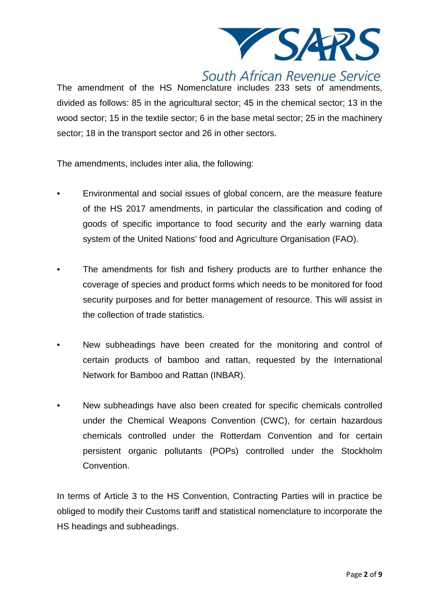

# South African Revenue Service

The amendment of the HS Nomenclature includes 233 sets of amendments, divided as follows: 85 in the agricultural sector; 45 in the chemical sector; 13 in the wood sector; 15 in the textile sector; 6 in the base metal sector; 25 in the machinery sector; 18 in the transport sector and 26 in other sectors.

The amendments, includes inter alia, the following:

- Environmental and social issues of global concern, are the measure feature of the HS 2017 amendments, in particular the classification and coding of goods of specific importance to food security and the early warning data system of the United Nations' food and Agriculture Organisation (FAO).
- The amendments for fish and fishery products are to further enhance the coverage of species and product forms which needs to be monitored for food security purposes and for better management of resource. This will assist in the collection of trade statistics.
- New subheadings have been created for the monitoring and control of certain products of bamboo and rattan, requested by the International Network for Bamboo and Rattan (INBAR).
- New subheadings have also been created for specific chemicals controlled under the Chemical Weapons Convention (CWC), for certain hazardous chemicals controlled under the Rotterdam Convention and for certain persistent organic pollutants (POPs) controlled under the Stockholm Convention.

In terms of Article 3 to the HS Convention, Contracting Parties will in practice be obliged to modify their Customs tariff and statistical nomenclature to incorporate the HS headings and subheadings.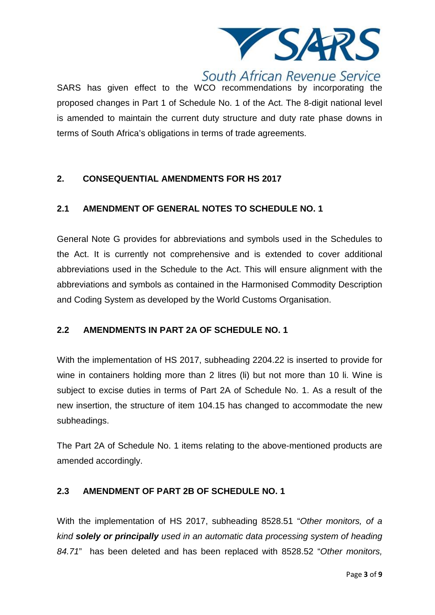

# South African Revenue Service

SARS has given effect to the WCO recommendations by incorporating the proposed changes in Part 1 of Schedule No. 1 of the Act. The 8-digit national level is amended to maintain the current duty structure and duty rate phase downs in terms of South Africa's obligations in terms of trade agreements.

# **2. CONSEQUENTIAL AMENDMENTS FOR HS 2017**

# **2.1 AMENDMENT OF GENERAL NOTES TO SCHEDULE NO. 1**

General Note G provides for abbreviations and symbols used in the Schedules to the Act. It is currently not comprehensive and is extended to cover additional abbreviations used in the Schedule to the Act. This will ensure alignment with the abbreviations and symbols as contained in the Harmonised Commodity Description and Coding System as developed by the World Customs Organisation.

## **2.2 AMENDMENTS IN PART 2A OF SCHEDULE NO. 1**

With the implementation of HS 2017, subheading 2204.22 is inserted to provide for wine in containers holding more than 2 litres (li) but not more than 10 li. Wine is subject to excise duties in terms of Part 2A of Schedule No. 1. As a result of the new insertion, the structure of item 104.15 has changed to accommodate the new subheadings.

The Part 2A of Schedule No. 1 items relating to the above-mentioned products are amended accordingly.

# **2.3 AMENDMENT OF PART 2B OF SCHEDULE NO. 1**

With the implementation of HS 2017, subheading 8528.51 "*Other monitors, of a kind solely or principally used in an automatic data processing system of heading 84.71*" has been deleted and has been replaced with 8528.52 "*Other monitors,*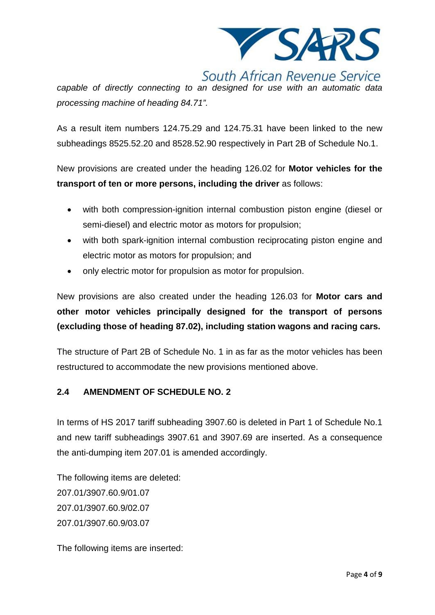

South African Revenue Service

*capable of directly connecting to an designed for use with an automatic data processing machine of heading 84.71".*

As a result item numbers 124.75.29 and 124.75.31 have been linked to the new subheadings 8525.52.20 and 8528.52.90 respectively in Part 2B of Schedule No.1.

New provisions are created under the heading 126.02 for **Motor vehicles for the transport of ten or more persons, including the driver** as follows:

- with both compression-ignition internal combustion piston engine (diesel or semi-diesel) and electric motor as motors for propulsion;
- with both spark-ignition internal combustion reciprocating piston engine and electric motor as motors for propulsion; and
- only electric motor for propulsion as motor for propulsion.

New provisions are also created under the heading 126.03 for **Motor cars and other motor vehicles principally designed for the transport of persons (excluding those of heading 87.02), including station wagons and racing cars.**

The structure of Part 2B of Schedule No. 1 in as far as the motor vehicles has been restructured to accommodate the new provisions mentioned above.

## **2.4 AMENDMENT OF SCHEDULE NO. 2**

In terms of HS 2017 tariff subheading 3907.60 is deleted in Part 1 of Schedule No.1 and new tariff subheadings 3907.61 and 3907.69 are inserted. As a consequence the anti-dumping item 207.01 is amended accordingly.

The following items are deleted: 207.01/3907.60.9/01.07 207.01/3907.60.9/02.07 207.01/3907.60.9/03.07

The following items are inserted: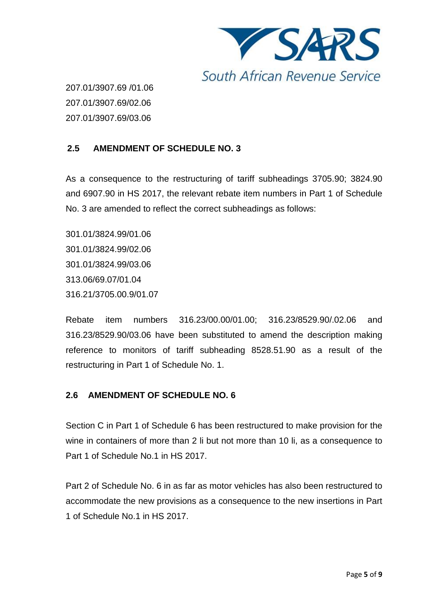

207.01/3907.69 /01.06 207.01/3907.69/02.06 207.01/3907.69/03.06

# **2.5 AMENDMENT OF SCHEDULE NO. 3**

As a consequence to the restructuring of tariff subheadings 3705.90; 3824.90 and 6907.90 in HS 2017, the relevant rebate item numbers in Part 1 of Schedule No. 3 are amended to reflect the correct subheadings as follows:

301.01/3824.99/01.06 301.01/3824.99/02.06 301.01/3824.99/03.06 313.06/69.07/01.04 316.21/3705.00.9/01.07

Rebate item numbers 316.23/00.00/01.00; 316.23/8529.90/.02.06 and 316.23/8529.90/03.06 have been substituted to amend the description making reference to monitors of tariff subheading 8528.51.90 as a result of the restructuring in Part 1 of Schedule No. 1.

## **2.6 AMENDMENT OF SCHEDULE NO. 6**

Section C in Part 1 of Schedule 6 has been restructured to make provision for the wine in containers of more than 2 li but not more than 10 li, as a consequence to Part 1 of Schedule No.1 in HS 2017.

Part 2 of Schedule No. 6 in as far as motor vehicles has also been restructured to accommodate the new provisions as a consequence to the new insertions in Part 1 of Schedule No.1 in HS 2017.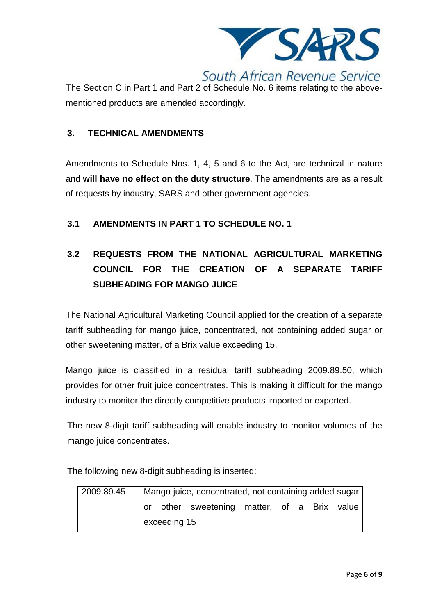

The Section C in Part 1 and Part 2 of Schedule No. 6 items relating to the abovementioned products are amended accordingly.

#### **3. TECHNICAL AMENDMENTS**

Amendments to Schedule Nos. 1, 4, 5 and 6 to the Act, are technical in nature and **will have no effect on the duty structure**. The amendments are as a result of requests by industry, SARS and other government agencies.

## **3.1 AMENDMENTS IN PART 1 TO SCHEDULE NO. 1**

# **3.2 REQUESTS FROM THE NATIONAL AGRICULTURAL MARKETING COUNCIL FOR THE CREATION OF A SEPARATE TARIFF SUBHEADING FOR MANGO JUICE**

The National Agricultural Marketing Council applied for the creation of a separate tariff subheading for mango juice, concentrated, not containing added sugar or other sweetening matter, of a Brix value exceeding 15.

Mango juice is classified in a residual tariff subheading 2009.89.50, which provides for other fruit juice concentrates. This is making it difficult for the mango industry to monitor the directly competitive products imported or exported.

The new 8-digit tariff subheading will enable industry to monitor volumes of the mango juice concentrates.

The following new 8-digit subheading is inserted:

| 2009.89.45 | Mango juice, concentrated, not containing added sugar |  |                                             |  |  |  |  |  |
|------------|-------------------------------------------------------|--|---------------------------------------------|--|--|--|--|--|
|            |                                                       |  | or other sweetening matter, of a Brix value |  |  |  |  |  |
|            | exceeding 15                                          |  |                                             |  |  |  |  |  |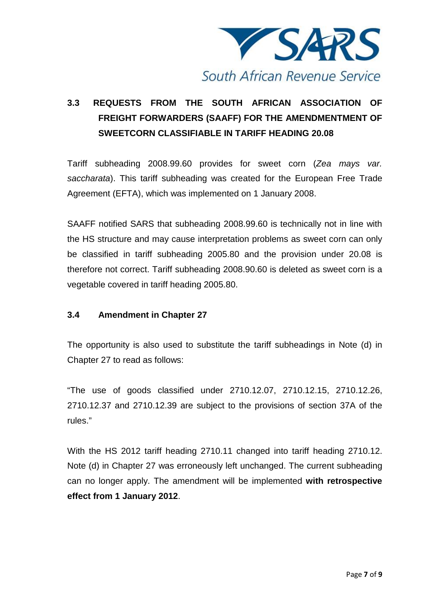

# **3.3 REQUESTS FROM THE SOUTH AFRICAN ASSOCIATION OF FREIGHT FORWARDERS (SAAFF) FOR THE AMENDMENTMENT OF SWEETCORN CLASSIFIABLE IN TARIFF HEADING 20.08**

Tariff subheading 2008.99.60 provides for sweet corn (*Zea mays var. saccharata*). This tariff subheading was created for the European Free Trade Agreement (EFTA), which was implemented on 1 January 2008.

SAAFF notified SARS that subheading 2008.99.60 is technically not in line with the HS structure and may cause interpretation problems as sweet corn can only be classified in tariff subheading 2005.80 and the provision under 20.08 is therefore not correct. Tariff subheading 2008.90.60 is deleted as sweet corn is a vegetable covered in tariff heading 2005.80.

## **3.4 Amendment in Chapter 27**

The opportunity is also used to substitute the tariff subheadings in Note (d) in Chapter 27 to read as follows:

"The use of goods classified under 2710.12.07, 2710.12.15, 2710.12.26, 2710.12.37 and 2710.12.39 are subject to the provisions of section 37A of the rules."

With the HS 2012 tariff heading 2710.11 changed into tariff heading 2710.12. Note (d) in Chapter 27 was erroneously left unchanged. The current subheading can no longer apply. The amendment will be implemented **with retrospective effect from 1 January 2012**.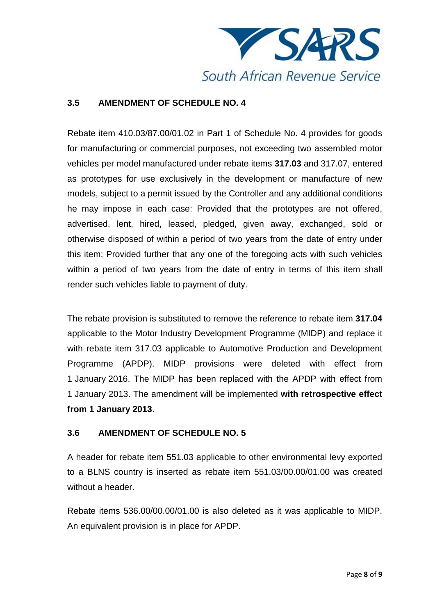

# **3.5 AMENDMENT OF SCHEDULE NO. 4**

Rebate item 410.03/87.00/01.02 in Part 1 of Schedule No. 4 provides for goods for manufacturing or commercial purposes, not exceeding two assembled motor vehicles per model manufactured under rebate items **317.03** and 317.07, entered as prototypes for use exclusively in the development or manufacture of new models, subject to a permit issued by the Controller and any additional conditions he may impose in each case: Provided that the prototypes are not offered, advertised, lent, hired, leased, pledged, given away, exchanged, sold or otherwise disposed of within a period of two years from the date of entry under this item: Provided further that any one of the foregoing acts with such vehicles within a period of two years from the date of entry in terms of this item shall render such vehicles liable to payment of duty.

The rebate provision is substituted to remove the reference to rebate item **317.04** applicable to the Motor Industry Development Programme (MIDP) and replace it with rebate item 317.03 applicable to Automotive Production and Development Programme (APDP). MIDP provisions were deleted with effect from 1 January 2016. The MIDP has been replaced with the APDP with effect from 1 January 2013. The amendment will be implemented **with retrospective effect from 1 January 2013**.

## **3.6 AMENDMENT OF SCHEDULE NO. 5**

A header for rebate item 551.03 applicable to other environmental levy exported to a BLNS country is inserted as rebate item 551.03/00.00/01.00 was created without a header.

Rebate items 536.00/00.00/01.00 is also deleted as it was applicable to MIDP. An equivalent provision is in place for APDP.